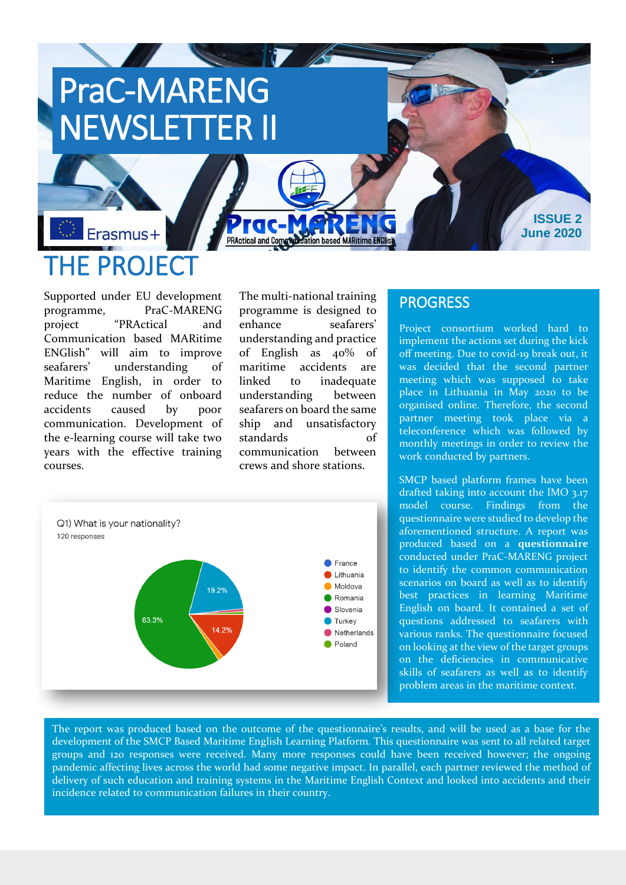# PraC-MARENG NEWSLETTER II

## Erasmus+ THE PROJECT

Supported under EU development programme, PraC-MARENG project "PRActical and Communication based MARitime ENGlish" will aim to improve seafarers' understanding of Maritime English, in order to reduce the number of onboard accidents caused by poor communication. Development of the e-learning course will take two years with the effective training courses.

The multi-national training programme is designed to enhance seafarers' understanding and practice of English as 40% of maritime accidents are linked to inadequate understanding between seafarers on board the same ship and unsatisfactory standards of communication between crews and shore stations.

<u>Dication based MARitime ENClis</u>

 $\blacksquare$ 

**PRActical and Commu** 



### **PROGRESS**

Project consortium worked hard to implement the actions set during the kick off meeting. Due to covid-19 break out, it was decided that the second partner meeting which was supposed to take place in Lithuania in May 2020 to be organised online. Therefore, the second partner meeting took place via a teleconference which was followed by monthly meetings in order to review the work conducted by partners.

**ISSUE 2 June 2020**

SMCP based platform frames have been drafted taking into account the IMO 3.17 model course. Findings from the questionnaire were studied to develop the aforementioned structure. A report was produced based on a **questionnaire**  conducted under PraC-MARENG project to identify the common communication scenarios on board as well as to identify best practices in learning Maritime English on board. It contained a set of questions addressed to seafarers with various ranks. The questionnaire focused on looking at the view of the target groups on the deficiencies in communicative skills of seafarers as well as to identify problem areas in the maritime context.

The report was produced based on the outcome of the questionnaire's results, and will be used as a base for the development of the SMCP Based Maritime English Learning Platform. This questionnaire was sent to all related target groups and 120 responses were received. Many more responses could have been received however; the ongoing pandemic affecting lives across the world had some negative impact. In parallel, each partner reviewed the method of delivery of such education and training systems in the Maritime English Context and looked into accidents and their incidence related to communication failures in their country.